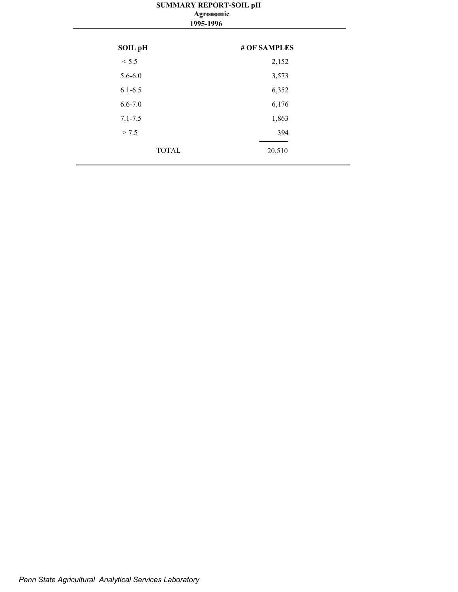#### **SUMMARY REPORT-SOIL pH 1995-1996 Agronomic**

| <b>SOIL pH</b> | # OF SAMPLES |
|----------------|--------------|
| < 5.5          | 2,152        |
| $5.6 - 6.0$    | 3,573        |
| $6.1 - 6.5$    | 6,352        |
| $6.6 - 7.0$    | 6,176        |
| $7.1 - 7.5$    | 1,863        |
| > 7.5          | 394          |
| <b>TOTAL</b>   | 20,510       |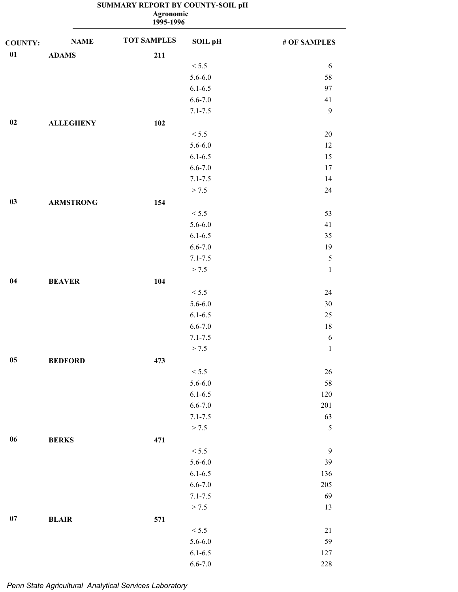| <b>Agronomic</b><br>1995-1996 |                  |                    |             |              |
|-------------------------------|------------------|--------------------|-------------|--------------|
| <b>COUNTY:</b>                | <b>NAME</b>      | <b>TOT SAMPLES</b> | SOIL pH     | # OF SAMPLES |
| 01                            | <b>ADAMS</b>     | 211                |             |              |
|                               |                  |                    | < 5.5       | 6            |
|                               |                  |                    | $5.6 - 6.0$ | 58           |
|                               |                  |                    | $6.1 - 6.5$ | 97           |
|                               |                  |                    | $6.6 - 7.0$ | 41           |
|                               |                  |                    | $7.1 - 7.5$ | 9            |
| 02                            | <b>ALLEGHENY</b> | 102                |             |              |
|                               |                  |                    | < 5.5       | $20\,$       |
|                               |                  |                    | $5.6 - 6.0$ | 12           |
|                               |                  |                    | $6.1 - 6.5$ | 15           |
|                               |                  |                    | $6.6 - 7.0$ | 17           |
|                               |                  |                    | $7.1 - 7.5$ | 14           |
|                               |                  |                    | > 7.5       | 24           |
| 03                            | <b>ARMSTRONG</b> | 154                |             |              |
|                               |                  |                    | < 5.5       | 53           |
|                               |                  |                    | $5.6 - 6.0$ | 41           |
|                               |                  |                    | $6.1 - 6.5$ | 35           |
|                               |                  |                    | $6.6 - 7.0$ | 19           |
|                               |                  |                    | $7.1 - 7.5$ | $\sqrt{5}$   |
|                               |                  |                    | > 7.5       | $\mathbf{1}$ |
| 04                            | <b>BEAVER</b>    | 104                |             |              |
|                               |                  |                    | < 5.5       | 24           |
|                               |                  |                    | $5.6 - 6.0$ | 30           |
|                               |                  |                    | $6.1 - 6.5$ | $25\,$       |
|                               |                  |                    | $6.6 - 7.0$ | $18\,$       |
|                               |                  |                    | $7.1 - 7.5$ | 6            |
|                               |                  |                    | > 7.5       | $\mathbf{1}$ |
| $05\,$                        | <b>BEDFORD</b>   | 473                |             |              |
|                               |                  |                    | < 5.5       | 26           |
|                               |                  |                    | $5.6 - 6.0$ | 58           |
|                               |                  |                    | $6.1 - 6.5$ | 120          |
|                               |                  |                    | $6.6 - 7.0$ | $201\,$      |
|                               |                  |                    | $7.1 - 7.5$ | 63           |
|                               |                  |                    | > 7.5       | 5            |
| $06\,$                        | <b>BERKS</b>     | 471                |             |              |
|                               |                  |                    | < 5.5       | $\mathbf{9}$ |
|                               |                  |                    | $5.6 - 6.0$ | 39           |
|                               |                  |                    | $6.1 - 6.5$ | 136          |
|                               |                  |                    | $6.6 - 7.0$ | 205          |
|                               |                  |                    | $7.1 - 7.5$ | 69           |
|                               |                  |                    | > 7.5       | 13           |
| 07                            | <b>BLAIR</b>     | 571                |             |              |
|                               |                  |                    | < 5.5       | 21           |
|                               |                  |                    | $5.6 - 6.0$ | 59           |
|                               |                  |                    | $6.1 - 6.5$ | 127          |
|                               |                  |                    |             |              |

6.6-7.0 228

#### **SUMMARY REPORT BY COUNTY-SOIL pH**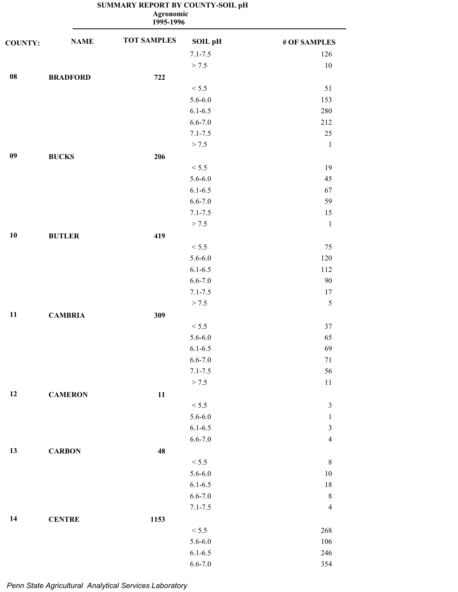| <b>Agronomic</b><br>1995-1996 |                 |                    |                |                         |
|-------------------------------|-----------------|--------------------|----------------|-------------------------|
| <b>COUNTY:</b>                | <b>NAME</b>     | <b>TOT SAMPLES</b> | <b>SOIL pH</b> | # OF SAMPLES            |
|                               |                 |                    | $7.1 - 7.5$    | 126                     |
|                               |                 |                    | > 7.5          | $10\,$                  |
| ${\bf 08}$                    | <b>BRADFORD</b> | 722                |                |                         |
|                               |                 |                    | < 5.5          | 51                      |
|                               |                 |                    | $5.6 - 6.0$    | 153                     |
|                               |                 |                    | $6.1 - 6.5$    | 280                     |
|                               |                 |                    | $6.6 - 7.0$    | 212                     |
|                               |                 |                    | $7.1 - 7.5$    | 25                      |
|                               |                 |                    | > 7.5          | $\mathbf 1$             |
| 09                            | <b>BUCKS</b>    | 206                |                |                         |
|                               |                 |                    | < 5.5          | 19                      |
|                               |                 |                    | $5.6 - 6.0$    | 45                      |
|                               |                 |                    | $6.1 - 6.5$    | 67                      |
|                               |                 |                    | $6.6 - 7.0$    | 59                      |
|                               |                 |                    | $7.1 - 7.5$    | 15                      |
|                               |                 |                    | > 7.5          | $\mathbf{1}$            |
| 10                            | <b>BUTLER</b>   | 419                |                |                         |
|                               |                 |                    | < 5.5          | 75                      |
|                               |                 |                    | $5.6 - 6.0$    | 120                     |
|                               |                 |                    | $6.1 - 6.5$    | 112                     |
|                               |                 |                    | $6.6 - 7.0$    | 90                      |
|                               |                 |                    | $7.1 - 7.5$    | 17                      |
|                               |                 |                    | > 7.5          | 5                       |
| 11                            |                 |                    |                |                         |
|                               | <b>CAMBRIA</b>  | 309                |                |                         |
|                               |                 |                    | < 5.5          | 37                      |
|                               |                 |                    | $5.6 - 6.0$    | 65                      |
|                               |                 |                    | $6.1 - 6.5$    | 69                      |
|                               |                 |                    | $6.6 - 7.0$    | $71\,$                  |
|                               |                 |                    | $7.1 - 7.5$    | 56                      |
|                               |                 |                    | > 7.5          | $11\,$                  |
| 12                            | <b>CAMERON</b>  | 11                 |                |                         |
|                               |                 |                    | < 5.5          | $\mathfrak{Z}$          |
|                               |                 |                    | $5.6 - 6.0$    | $\mathbf{1}$            |
|                               |                 |                    | $6.1 - 6.5$    | $\overline{\mathbf{3}}$ |
|                               |                 |                    | $6.6 - 7.0$    | $\overline{4}$          |
| 13                            | <b>CARBON</b>   | 48                 |                |                         |
|                               |                 |                    | < 5.5          | $\,8\,$                 |
|                               |                 |                    | $5.6 - 6.0$    | $10\,$                  |
|                               |                 |                    | $6.1 - 6.5$    | $18\,$                  |
|                               |                 |                    | $6.6 - 7.0$    | $\,8\,$                 |
|                               |                 |                    | $7.1 - 7.5$    | $\overline{4}$          |
| 14                            | <b>CENTRE</b>   | 1153               |                |                         |
|                               |                 |                    | < 5.5          | 268                     |
|                               |                 |                    | $5.6 - 6.0$    | 106                     |
|                               |                 |                    | $6.1 - 6.5$    | 246                     |
|                               |                 |                    | $6.6 - 7.0$    | 354                     |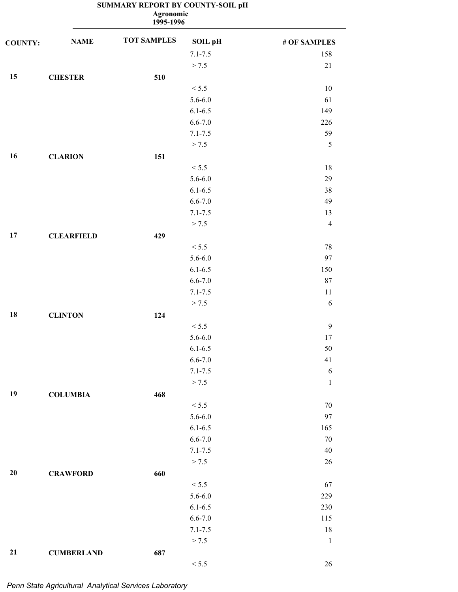|                |                   | <b>Agronomic</b><br>1995-1996 |                |                |
|----------------|-------------------|-------------------------------|----------------|----------------|
| <b>COUNTY:</b> | <b>NAME</b>       | <b>TOT SAMPLES</b>            | <b>SOIL pH</b> | # OF SAMPLES   |
|                |                   |                               | $7.1 - 7.5$    | 158            |
|                |                   |                               | > 7.5          | $21$           |
| 15             | <b>CHESTER</b>    | 510                           |                |                |
|                |                   |                               | < 5.5          | 10             |
|                |                   |                               | $5.6 - 6.0$    | 61             |
|                |                   |                               | $6.1 - 6.5$    | 149            |
|                |                   |                               | $6.6 - 7.0$    | 226            |
|                |                   |                               | $7.1 - 7.5$    | 59             |
|                |                   |                               | > 7.5          | $\sqrt{5}$     |
| 16             | <b>CLARION</b>    | 151                           |                |                |
|                |                   |                               | < 5.5          | $18\,$         |
|                |                   |                               | $5.6 - 6.0$    | 29             |
|                |                   |                               | $6.1 - 6.5$    | 38             |
|                |                   |                               | $6.6 - 7.0$    | 49             |
|                |                   |                               | $7.1 - 7.5$    | 13             |
|                |                   |                               | > 7.5          | $\overline{4}$ |
| 17             | <b>CLEARFIELD</b> | 429                           |                |                |
|                |                   |                               | < 5.5          | $78\,$         |
|                |                   |                               | $5.6 - 6.0$    | 97             |
|                |                   |                               | $6.1 - 6.5$    | 150            |
|                |                   |                               | $6.6 - 7.0$    | 87             |
|                |                   |                               | $7.1 - 7.5$    | $11\,$         |
|                |                   |                               | > 7.5          | $\sqrt{6}$     |
| 18             | <b>CLINTON</b>    | 124                           |                |                |
|                |                   |                               | < 5.5          | $\overline{9}$ |
|                |                   |                               | $5.6 - 6.0$    | 17             |
|                |                   |                               | $6.1 - 6.5$    | 50             |
|                |                   |                               | $6.6 - 7.0$    | $41\,$         |
|                |                   |                               | $7.1 - 7.5$    | $\sqrt{6}$     |
|                |                   |                               | > 7.5          | $\mathbf{1}$   |
| 19             | <b>COLUMBIA</b>   | 468                           |                |                |
|                |                   |                               | < 5.5          | $70\,$         |
|                |                   |                               | $5.6 - 6.0$    | 97             |
|                |                   |                               | $6.1 - 6.5$    | 165            |
|                |                   |                               | $6.6 - 7.0$    | $70\,$         |
|                |                   |                               | $7.1 - 7.5$    | 40             |
|                |                   |                               | > 7.5          | $26\,$         |
| $20\,$         | <b>CRAWFORD</b>   | 660                           |                |                |
|                |                   |                               | < 5.5          | 67             |
|                |                   |                               | $5.6 - 6.0$    | 229            |
|                |                   |                               | $6.1 - 6.5$    | 230            |
|                |                   |                               | $6.6 - 7.0$    | 115            |
|                |                   |                               | $7.1 - 7.5$    | $18\,$         |
|                |                   |                               | > 7.5          | $\mathbf{1}$   |
| 21             | <b>CUMBERLAND</b> | 687                           |                |                |
|                |                   |                               | $< 5.5$        | $26\,$         |
|                |                   |                               |                |                |

*Penn State Agricultural Analytical Services Laboratory*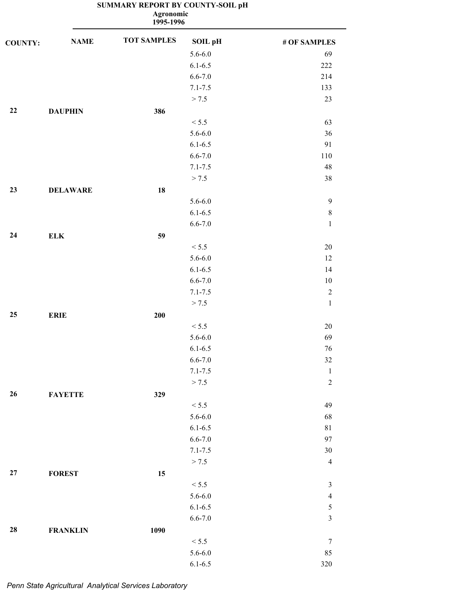**1995-1996 Agronomic**

| <b>COUNTY:</b> | <b>NAME</b>     | <b>TOT SAMPLES</b> | SOIL pH     | # OF SAMPLES   |
|----------------|-----------------|--------------------|-------------|----------------|
|                |                 |                    | $5.6 - 6.0$ | 69             |
|                |                 |                    | $6.1 - 6.5$ | 222            |
|                |                 |                    | $6.6 - 7.0$ | 214            |
|                |                 |                    | $7.1 - 7.5$ | 133            |
|                |                 |                    | > 7.5       | 23             |
| 22             | <b>DAUPHIN</b>  | 386                |             |                |
|                |                 |                    | < 5.5       | 63             |
|                |                 |                    | $5.6 - 6.0$ | 36             |
|                |                 |                    | $6.1 - 6.5$ | 91             |
|                |                 |                    | $6.6 - 7.0$ | 110            |
|                |                 |                    | $7.1 - 7.5$ | 48             |
|                |                 |                    | > 7.5       | 38             |
| 23             | <b>DELAWARE</b> | 18                 |             |                |
|                |                 |                    | $5.6 - 6.0$ | $\overline{9}$ |
|                |                 |                    | $6.1 - 6.5$ | $\,8\,$        |
|                |                 |                    | $6.6 - 7.0$ | $\mathbf{1}$   |
| 24             | ${\bf ELK}$     | 59                 |             |                |
|                |                 |                    | < 5.5       | $20\,$         |
|                |                 |                    | $5.6 - 6.0$ | 12             |
|                |                 |                    | $6.1 - 6.5$ | 14             |
|                |                 |                    | $6.6 - 7.0$ | 10             |
|                |                 |                    | $7.1 - 7.5$ | $\mathbf{2}$   |
|                |                 |                    | > 7.5       | $\mathbf{1}$   |
| 25             | <b>ERIE</b>     | 200                |             |                |
|                |                 |                    | < 5.5       | $20\,$         |
|                |                 |                    | $5.6 - 6.0$ | 69             |
|                |                 |                    | $6.1 - 6.5$ | 76             |
|                |                 |                    | $6.6 - 7.0$ | $32\,$         |
|                |                 |                    | $7.1 - 7.5$ | $\mathbf{1}$   |
|                |                 |                    | > 7.5       | $\sqrt{2}$     |
| 26             | <b>FAYETTE</b>  | 329                |             |                |
|                |                 |                    | < 5.5       | 49             |
|                |                 |                    | $5.6 - 6.0$ | 68             |
|                |                 |                    | $6.1 - 6.5$ | $8\sqrt{1}$    |
|                |                 |                    | $6.6 - 7.0$ | 97             |
|                |                 |                    | $7.1 - 7.5$ | $30\,$         |
|                |                 |                    | > 7.5       | $\overline{4}$ |
| 27             | <b>FOREST</b>   | 15                 |             |                |
|                |                 |                    | < 5.5       | $\mathfrak{Z}$ |
|                |                 |                    | $5.6 - 6.0$ | $\overline{4}$ |
|                |                 |                    | $6.1 - 6.5$ | $\sqrt{5}$     |
|                |                 |                    | $6.6 - 7.0$ | $\mathfrak{Z}$ |
| 28             | <b>FRANKLIN</b> | 1090               |             |                |
|                |                 |                    | < 5.5       | $\overline{7}$ |
|                |                 |                    | $5.6 - 6.0$ | 85             |
|                |                 |                    | $6.1 - 6.5$ | 320            |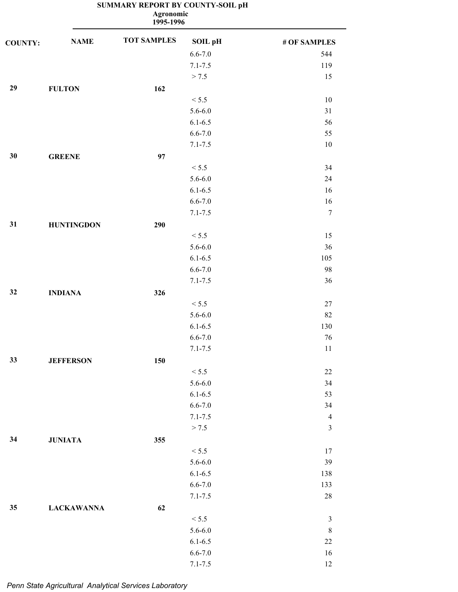|                |                   | Agronomic<br>1995-1996 |             |                |
|----------------|-------------------|------------------------|-------------|----------------|
| <b>COUNTY:</b> | <b>NAME</b>       | <b>TOT SAMPLES</b>     | SOIL pH     | # OF SAMPLES   |
|                |                   |                        | $6.6 - 7.0$ | 544            |
|                |                   |                        | $7.1 - 7.5$ | 119            |
|                |                   |                        | > 7.5       | 15             |
| 29             | <b>FULTON</b>     | 162                    |             |                |
|                |                   |                        | < 5.5       | 10             |
|                |                   |                        | $5.6 - 6.0$ | 31             |
|                |                   |                        | $6.1 - 6.5$ | 56             |
|                |                   |                        | $6.6 - 7.0$ | 55             |
|                |                   |                        | $7.1 - 7.5$ | 10             |
| 30             | <b>GREENE</b>     | 97                     |             |                |
|                |                   |                        | < 5.5       | 34             |
|                |                   |                        | $5.6 - 6.0$ | 24             |
|                |                   |                        | $6.1 - 6.5$ | 16             |
|                |                   |                        | $6.6 - 7.0$ | 16             |
|                |                   |                        | $7.1 - 7.5$ | $\tau$         |
| 31             | <b>HUNTINGDON</b> | 290                    |             |                |
|                |                   |                        | < 5.5       | 15             |
|                |                   |                        | $5.6 - 6.0$ | 36             |
|                |                   |                        | $6.1 - 6.5$ | 105            |
|                |                   |                        | $6.6 - 7.0$ | 98             |
|                |                   |                        | $7.1 - 7.5$ | 36             |
| 32             | <b>INDIANA</b>    | 326                    |             |                |
|                |                   |                        | < 5.5       | 27             |
|                |                   |                        | $5.6 - 6.0$ | 82             |
|                |                   |                        | $6.1 - 6.5$ | 130            |
|                |                   |                        | $6.6 - 7.0$ | 76             |
|                |                   |                        | $7.1 - 7.5$ | 11             |
| 33             | <b>JEFFERSON</b>  | 150                    |             |                |
|                |                   |                        | < 5.5       | $22\,$         |
|                |                   |                        | $5.6 - 6.0$ | 34             |
|                |                   |                        | $6.1 - 6.5$ | 53             |
|                |                   |                        | $6.6 - 7.0$ | 34             |
|                |                   |                        | $7.1 - 7.5$ | $\overline{4}$ |
|                |                   |                        | > 7.5       | $\mathfrak{Z}$ |
| 34             | <b>JUNIATA</b>    | 355                    |             |                |
|                |                   |                        | < 5.5       | 17             |
|                |                   |                        | $5.6 - 6.0$ | 39             |
|                |                   |                        | $6.1 - 6.5$ | 138            |
|                |                   |                        | $6.6 - 7.0$ | 133            |
|                |                   |                        | $7.1 - 7.5$ | $28\,$         |
| 35             | <b>LACKAWANNA</b> | 62                     |             |                |
|                |                   |                        | < 5.5       | $\mathfrak{Z}$ |
|                |                   |                        | $5.6 - 6.0$ | $\,8\,$        |
|                |                   |                        | $6.1 - 6.5$ | $22\,$         |
|                |                   |                        | $6.6 - 7.0$ | $16\,$         |

7.1-7.5 12

### **SUMMARY REPORT BY COUNTY-SOIL pH**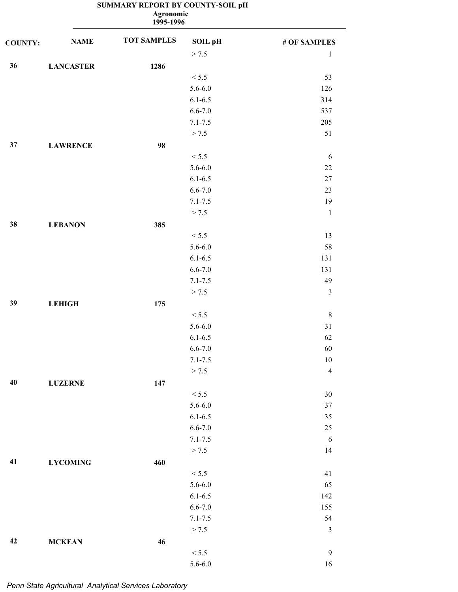| <b>Agronomic</b><br>1995-1996 |                  |                    |             |                |
|-------------------------------|------------------|--------------------|-------------|----------------|
| <b>COUNTY:</b>                | <b>NAME</b>      | <b>TOT SAMPLES</b> | SOIL pH     | # OF SAMPLES   |
|                               |                  |                    | > 7.5       | $\mathbf{1}$   |
| 36                            | <b>LANCASTER</b> | 1286               |             |                |
|                               |                  |                    | < 5.5       | 53             |
|                               |                  |                    | $5.6 - 6.0$ | 126            |
|                               |                  |                    | $6.1 - 6.5$ | 314            |
|                               |                  |                    | $6.6 - 7.0$ | 537            |
|                               |                  |                    | $7.1 - 7.5$ | 205            |
|                               |                  |                    | > 7.5       | 51             |
| 37                            | <b>LAWRENCE</b>  | 98                 |             |                |
|                               |                  |                    | < 5.5       | 6              |
|                               |                  |                    | $5.6 - 6.0$ | $22\,$         |
|                               |                  |                    | $6.1 - 6.5$ | $27\,$         |
|                               |                  |                    | $6.6 - 7.0$ | 23             |
|                               |                  |                    | $7.1 - 7.5$ | 19             |
|                               |                  |                    | > 7.5       | $\mathbf{1}$   |
| 38                            | <b>LEBANON</b>   | 385                |             |                |
|                               |                  |                    | < 5.5       | 13             |
|                               |                  |                    | $5.6 - 6.0$ | 58             |
|                               |                  |                    | $6.1 - 6.5$ | 131            |
|                               |                  |                    | $6.6 - 7.0$ | 131            |
|                               |                  |                    | $7.1 - 7.5$ | 49             |
|                               |                  |                    | > 7.5       | $\mathfrak{Z}$ |
| 39                            | <b>LEHIGH</b>    | 175                |             |                |
|                               |                  |                    | < 5.5       | $\,8\,$        |
|                               |                  |                    | $5.6 - 6.0$ | 31             |
|                               |                  |                    | $6.1 - 6.5$ | 62             |
|                               |                  |                    | $6.6 - 7.0$ | 60             |
|                               |                  |                    | $7.1 - 7.5$ | $10\,$         |
|                               |                  |                    | > 7.5       | $\overline{4}$ |
| 40                            |                  | 147                |             |                |
|                               | <b>LUZERNE</b>   |                    | < 5.5       |                |
|                               |                  |                    |             | $30\,$         |
|                               |                  |                    | $5.6 - 6.0$ | $37\,$         |
|                               |                  |                    | $6.1 - 6.5$ | 35             |
|                               |                  |                    | $6.6 - 7.0$ | $25\,$         |
|                               |                  |                    | $7.1 - 7.5$ | 6              |
|                               |                  |                    | > 7.5       | 14             |
| 41                            | <b>LYCOMING</b>  | 460                |             |                |
|                               |                  |                    | < 5.5       | 41             |
|                               |                  |                    | $5.6 - 6.0$ | 65             |
|                               |                  |                    | $6.1 - 6.5$ | 142            |
|                               |                  |                    | $6.6 - 7.0$ | 155            |
|                               |                  |                    | $7.1 - 7.5$ | 54             |
|                               |                  |                    | > 7.5       | $\mathfrak{Z}$ |
| 42                            | <b>MCKEAN</b>    | 46                 |             |                |
|                               |                  |                    | < 5.5       | $\mathbf{9}$   |
|                               |                  |                    | $5.6 - 6.0$ | 16             |

*Penn State Agricultural Analytical Services Laboratory*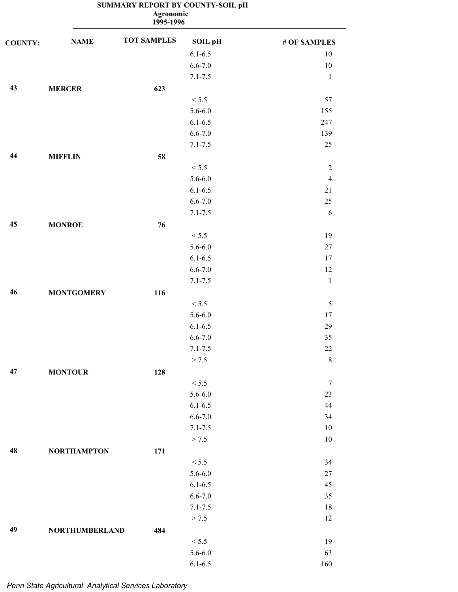|                |                       | <b>Agronomic</b><br>1995-1996 |                |                |
|----------------|-----------------------|-------------------------------|----------------|----------------|
| <b>COUNTY:</b> | <b>NAME</b>           | <b>TOT SAMPLES</b>            | <b>SOIL pH</b> | # OF SAMPLES   |
|                |                       |                               | $6.1 - 6.5$    | 10             |
|                |                       |                               | $6.6 - 7.0$    | 10             |
|                |                       |                               | $7.1 - 7.5$    | $\mathbf{1}$   |
| 43             | <b>MERCER</b>         | 623                           |                |                |
|                |                       |                               | < 5.5          | 57             |
|                |                       |                               | $5.6 - 6.0$    | 155            |
|                |                       |                               | $6.1 - 6.5$    | 247            |
|                |                       |                               | $6.6 - 7.0$    | 139            |
|                |                       |                               | $7.1 - 7.5$    | 25             |
| 44             | <b>MIFFLIN</b>        | 58                            |                |                |
|                |                       |                               | < 5.5          | $\sqrt{2}$     |
|                |                       |                               | $5.6 - 6.0$    | $\overline{4}$ |
|                |                       |                               | $6.1 - 6.5$    | 21             |
|                |                       |                               | $6.6 - 7.0$    | 25             |
|                |                       |                               | $7.1 - 7.5$    | 6              |
| 45             | <b>MONROE</b>         | 76                            |                |                |
|                |                       |                               | < 5.5          | 19             |
|                |                       |                               | $5.6 - 6.0$    | $27\,$         |
|                |                       |                               | $6.1 - 6.5$    | 17             |
|                |                       |                               | $6.6 - 7.0$    | 12             |
|                |                       |                               | $7.1 - 7.5$    | $\mathbf{1}$   |
| 46             | <b>MONTGOMERY</b>     | 116                           |                |                |
|                |                       |                               | < 5.5          | $\sqrt{5}$     |
|                |                       |                               | $5.6 - 6.0$    | 17             |
|                |                       |                               | $6.1 - 6.5$    | 29             |
|                |                       |                               | $6.6 - 7.0$    | 35             |
|                |                       |                               | $7.1 - 7.5$    | $22\,$         |
|                |                       |                               | > 7.5          | $\,8\,$        |
| 47             | <b>MONTOUR</b>        | 128                           |                |                |
|                |                       |                               | < 5.5          | $\tau$         |
|                |                       |                               | $5.6 - 6.0$    | 23             |
|                |                       |                               | $6.1 - 6.5$    | 44             |
|                |                       |                               | $6.6 - 7.0$    | 34             |
|                |                       |                               | $7.1 - 7.5$    | 10             |
|                |                       |                               | > 7.5          | $10\,$         |
| 48             | <b>NORTHAMPTON</b>    | 171                           |                |                |
|                |                       |                               | < 5.5          | 34             |
|                |                       |                               | $5.6 - 6.0$    | $27\,$         |
|                |                       |                               | $6.1 - 6.5$    | 45             |
|                |                       |                               | $6.6 - 7.0$    | 35             |
|                |                       |                               | $7.1 - 7.5$    | 18             |
|                |                       |                               | > 7.5          | 12             |
| 49             | <b>NORTHUMBERLAND</b> | 484                           |                |                |
|                |                       |                               | < 5.5          | 19             |
|                |                       |                               | $5.6 - 6.0$    | 63             |
|                |                       |                               |                |                |

6.1-6.5 160

# **SUMMARY REPORT BY COUNTY-SOIL pH**

*Penn State Agricultural Analytical Services Laboratory*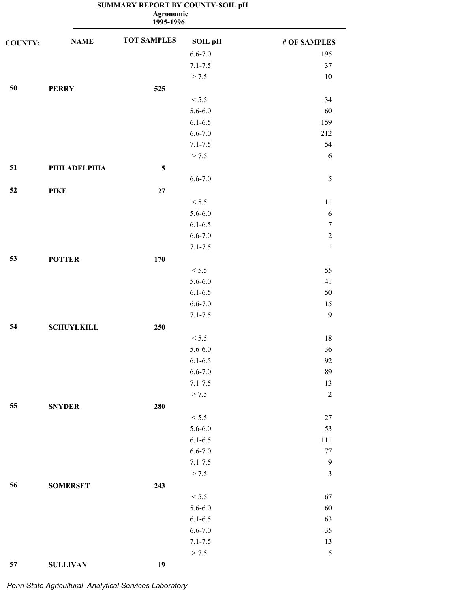|                |                   | <b>Agronomic</b><br>1995-1996 |             |                  |
|----------------|-------------------|-------------------------------|-------------|------------------|
| <b>COUNTY:</b> | <b>NAME</b>       | <b>TOT SAMPLES</b>            | SOIL pH     | # OF SAMPLES     |
|                |                   |                               | $6.6 - 7.0$ | 195              |
|                |                   |                               | $7.1 - 7.5$ | 37               |
|                |                   |                               | > 7.5       | 10               |
| 50             | <b>PERRY</b>      | 525                           |             |                  |
|                |                   |                               | < 5.5       | 34               |
|                |                   |                               | $5.6 - 6.0$ | 60               |
|                |                   |                               | $6.1 - 6.5$ | 159              |
|                |                   |                               | $6.6 - 7.0$ | 212              |
|                |                   |                               | $7.1 - 7.5$ | 54               |
|                |                   |                               | > 7.5       | 6                |
| 51             | PHILADELPHIA      | 5                             |             |                  |
|                |                   |                               | $6.6 - 7.0$ | 5                |
| 52             | <b>PIKE</b>       | 27                            |             |                  |
|                |                   |                               | < 5.5       | 11               |
|                |                   |                               | $5.6 - 6.0$ | 6                |
|                |                   |                               | $6.1 - 6.5$ | $\boldsymbol{7}$ |
|                |                   |                               | $6.6 - 7.0$ | $\boldsymbol{2}$ |
|                |                   |                               | $7.1 - 7.5$ | $\mathbf{1}$     |
| 53             | <b>POTTER</b>     | 170                           |             |                  |
|                |                   |                               | < 5.5       | 55               |
|                |                   |                               | $5.6 - 6.0$ | 41               |
|                |                   |                               | $6.1 - 6.5$ | 50               |
|                |                   |                               | $6.6 - 7.0$ | 15               |
|                |                   |                               | $7.1 - 7.5$ | 9                |
| 54             | <b>SCHUYLKILL</b> | 250                           |             |                  |
|                |                   |                               | < 5.5       | 18               |
|                |                   |                               | $5.6 - 6.0$ | 36               |
|                |                   |                               | $6.1 - 6.5$ | 92               |
|                |                   |                               | $6.6 - 7.0$ | 89               |
|                |                   |                               | $7.1 - 7.5$ | 13               |
|                |                   |                               | > 7.5       | $\sqrt{2}$       |
| 55             | <b>SNYDER</b>     | 280                           |             |                  |
|                |                   |                               | < 5.5       | 27               |
|                |                   |                               | $5.6 - 6.0$ | 53               |
|                |                   |                               | $6.1 - 6.5$ | 111              |
|                |                   |                               | $6.6 - 7.0$ | $77 \,$          |
|                |                   |                               | $7.1 - 7.5$ | $\boldsymbol{9}$ |
|                |                   |                               | > 7.5       | $\mathfrak{Z}$   |
| 56             | <b>SOMERSET</b>   | 243                           |             |                  |
|                |                   |                               | < 5.5       | 67               |
|                |                   |                               | $5.6 - 6.0$ | $60\,$           |
|                |                   |                               | $6.1 - 6.5$ | 63               |
|                |                   |                               | $6.6 - 7.0$ | 35               |
|                |                   |                               | $7.1 - 7.5$ | 13               |
|                |                   |                               | > 7.5       | $\sqrt{5}$       |

*Penn State Agricultural Analytical Services Laboratory*

**57 SULLIVAN 19**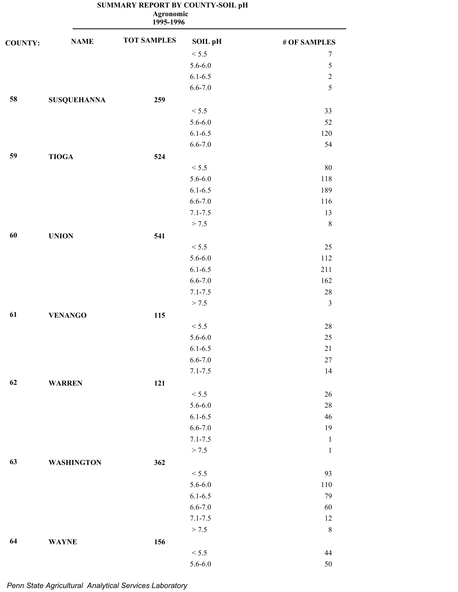**1995-1996 Agronomic**

| <b>COUNTY:</b> | <b>NAME</b>        | <b>TOT SAMPLES</b> | SOIL pH     | # OF SAMPLES   |
|----------------|--------------------|--------------------|-------------|----------------|
|                |                    |                    | < 5.5       | $\tau$         |
|                |                    |                    | $5.6 - 6.0$ | $\sqrt{5}$     |
|                |                    |                    | $6.1 - 6.5$ | $\sqrt{2}$     |
|                |                    |                    | $6.6 - 7.0$ | 5              |
| 58             | <b>SUSQUEHANNA</b> | 259                |             |                |
|                |                    |                    | < 5.5       | 33             |
|                |                    |                    | $5.6 - 6.0$ | 52             |
|                |                    |                    | $6.1 - 6.5$ | 120            |
|                |                    |                    | $6.6 - 7.0$ | 54             |
| 59             | <b>TIOGA</b>       | 524                |             |                |
|                |                    |                    | < 5.5       | $80\,$         |
|                |                    |                    | $5.6 - 6.0$ | 118            |
|                |                    |                    | $6.1 - 6.5$ | 189            |
|                |                    |                    | $6.6 - 7.0$ | 116            |
|                |                    |                    | $7.1 - 7.5$ | 13             |
|                |                    |                    | > 7.5       | $\,8\,$        |
| 60             | <b>UNION</b>       | 541                |             |                |
|                |                    |                    | < 5.5       | 25             |
|                |                    |                    | $5.6 - 6.0$ | 112            |
|                |                    |                    | $6.1 - 6.5$ | 211            |
|                |                    |                    | $6.6 - 7.0$ | 162            |
|                |                    |                    | $7.1 - 7.5$ | $28\,$         |
|                |                    |                    | > 7.5       | $\mathfrak{Z}$ |
| 61             | <b>VENANGO</b>     | 115                |             |                |
|                |                    |                    | < 5.5       | $28\,$         |
|                |                    |                    | $5.6 - 6.0$ | $25\,$         |
|                |                    |                    | $6.1 - 6.5$ | $21\,$         |
|                |                    |                    | $6.6 - 7.0$ | $27\,$         |
|                |                    |                    | $7.1 - 7.5$ | 14             |
| 62             | <b>WARREN</b>      | 121                |             |                |
|                |                    |                    | < 5.5       | $26\,$         |
|                |                    |                    | $5.6 - 6.0$ | $28\,$         |
|                |                    |                    | $6.1 - 6.5$ | 46             |
|                |                    |                    | $6.6 - 7.0$ | 19             |
|                |                    |                    | $7.1 - 7.5$ | $\mathbf{1}$   |
|                |                    |                    | > 7.5       | $\,1\,$        |
| 63             | <b>WASHINGTON</b>  | 362                |             |                |
|                |                    |                    | < 5.5       | 93             |
|                |                    |                    | $5.6 - 6.0$ | 110            |
|                |                    |                    | $6.1 - 6.5$ | 79             |
|                |                    |                    | $6.6 - 7.0$ | 60             |
|                |                    |                    | $7.1 - 7.5$ | 12             |
|                |                    |                    | > 7.5       | $\,8\,$        |
| 64             | <b>WAYNE</b>       | 156                |             |                |
|                |                    |                    | < 5.5       | 44             |
|                |                    |                    | $5.6 - 6.0$ | $50\,$         |